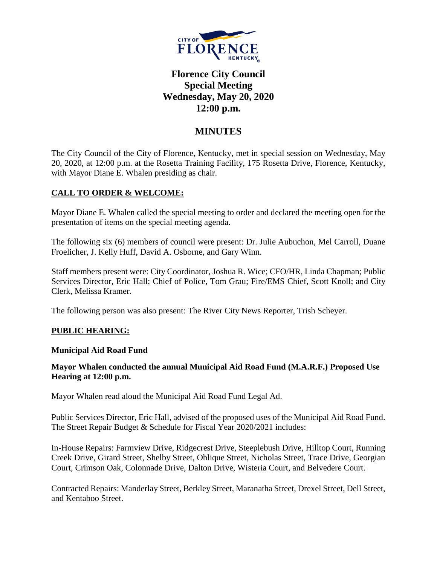

# **Florence City Council Special Meeting Wednesday, May 20, 2020 12:00 p.m.**

## **MINUTES**

The City Council of the City of Florence, Kentucky, met in special session on Wednesday, May 20, 2020, at 12:00 p.m. at the Rosetta Training Facility, 175 Rosetta Drive, Florence, Kentucky, with Mayor Diane E. Whalen presiding as chair.

## **CALL TO ORDER & WELCOME:**

Mayor Diane E. Whalen called the special meeting to order and declared the meeting open for the presentation of items on the special meeting agenda.

The following six (6) members of council were present: Dr. Julie Aubuchon, Mel Carroll, Duane Froelicher, J. Kelly Huff, David A. Osborne, and Gary Winn.

Staff members present were: City Coordinator, Joshua R. Wice; CFO/HR, Linda Chapman; Public Services Director, Eric Hall; Chief of Police, Tom Grau; Fire/EMS Chief, Scott Knoll; and City Clerk, Melissa Kramer.

The following person was also present: The River City News Reporter, Trish Scheyer.

## **PUBLIC HEARING:**

#### **Municipal Aid Road Fund**

## **Mayor Whalen conducted the annual Municipal Aid Road Fund (M.A.R.F.) Proposed Use Hearing at 12:00 p.m.**

Mayor Whalen read aloud the Municipal Aid Road Fund Legal Ad.

Public Services Director, Eric Hall, advised of the proposed uses of the Municipal Aid Road Fund. The Street Repair Budget & Schedule for Fiscal Year 2020/2021 includes:

In-House Repairs: Farmview Drive, Ridgecrest Drive, Steeplebush Drive, Hilltop Court, Running Creek Drive, Girard Street, Shelby Street, Oblique Street, Nicholas Street, Trace Drive, Georgian Court, Crimson Oak, Colonnade Drive, Dalton Drive, Wisteria Court, and Belvedere Court.

Contracted Repairs: Manderlay Street, Berkley Street, Maranatha Street, Drexel Street, Dell Street, and Kentaboo Street.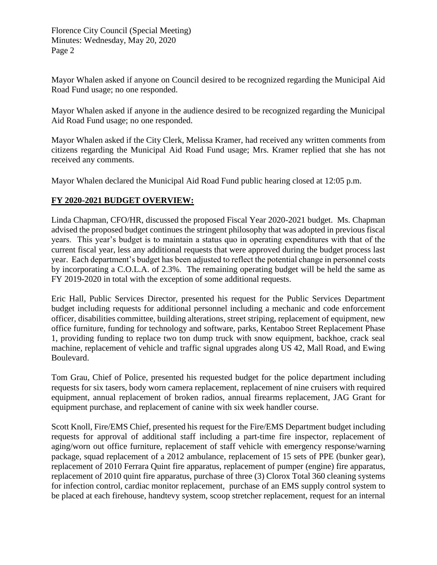Florence City Council (Special Meeting) Minutes: Wednesday, May 20, 2020 Page 2

Mayor Whalen asked if anyone on Council desired to be recognized regarding the Municipal Aid Road Fund usage; no one responded.

Mayor Whalen asked if anyone in the audience desired to be recognized regarding the Municipal Aid Road Fund usage; no one responded.

Mayor Whalen asked if the City Clerk, Melissa Kramer, had received any written comments from citizens regarding the Municipal Aid Road Fund usage; Mrs. Kramer replied that she has not received any comments.

Mayor Whalen declared the Municipal Aid Road Fund public hearing closed at 12:05 p.m.

## **FY 2020-2021 BUDGET OVERVIEW:**

Linda Chapman, CFO/HR, discussed the proposed Fiscal Year 2020-2021 budget. Ms. Chapman advised the proposed budget continues the stringent philosophy that was adopted in previous fiscal years. This year's budget is to maintain a status quo in operating expenditures with that of the current fiscal year, less any additional requests that were approved during the budget process last year. Each department's budget has been adjusted to reflect the potential change in personnel costs by incorporating a C.O.L.A. of 2.3%. The remaining operating budget will be held the same as FY 2019-2020 in total with the exception of some additional requests.

Eric Hall, Public Services Director, presented his request for the Public Services Department budget including requests for additional personnel including a mechanic and code enforcement officer, disabilities committee, building alterations, street striping, replacement of equipment, new office furniture, funding for technology and software, parks, Kentaboo Street Replacement Phase 1, providing funding to replace two ton dump truck with snow equipment, backhoe, crack seal machine, replacement of vehicle and traffic signal upgrades along US 42, Mall Road, and Ewing Boulevard.

Tom Grau, Chief of Police, presented his requested budget for the police department including requests for six tasers, body worn camera replacement, replacement of nine cruisers with required equipment, annual replacement of broken radios, annual firearms replacement, JAG Grant for equipment purchase, and replacement of canine with six week handler course.

Scott Knoll, Fire/EMS Chief, presented his request for the Fire/EMS Department budget including requests for approval of additional staff including a part-time fire inspector, replacement of aging/worn out office furniture, replacement of staff vehicle with emergency response/warning package, squad replacement of a 2012 ambulance, replacement of 15 sets of PPE (bunker gear), replacement of 2010 Ferrara Quint fire apparatus, replacement of pumper (engine) fire apparatus, replacement of 2010 quint fire apparatus, purchase of three (3) Clorox Total 360 cleaning systems for infection control, cardiac monitor replacement, purchase of an EMS supply control system to be placed at each firehouse, handtevy system, scoop stretcher replacement, request for an internal